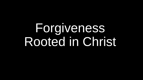# Forgiveness Rooted in Christ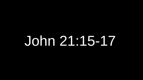# John 21:15-17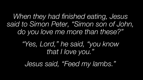*When they had finished eating, Jesus said to Simon Peter, "Simon son of John, do you love me more than these?"*

> *"Yes, Lord," he said, "you know that I love you."*

*Jesus said, "Feed my lambs."*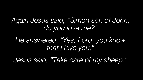*Again Jesus said, "Simon son of John, do you love me?"*

#### *He answered, "Yes, Lord, you know that I love you."*

*Jesus said, "Take care of my sheep."*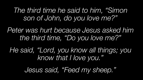*The third time he said to him, "Simon son of John, do you love me?"*

*Peter was hurt because Jesus asked him the third time, "Do you love me?"* 

*He said, "Lord, you know all things; you know that I love you."*

*Jesus said, "Feed my sheep."*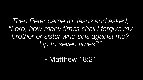*Then Peter came to Jesus and asked, "Lord, how many times shall I forgive my brother or sister who sins against me? Up to seven times?"*

#### - Matthew 18:21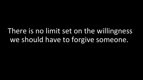There is no limit set on the willingness we should have to forgive someone.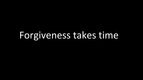### Forgiveness takes time